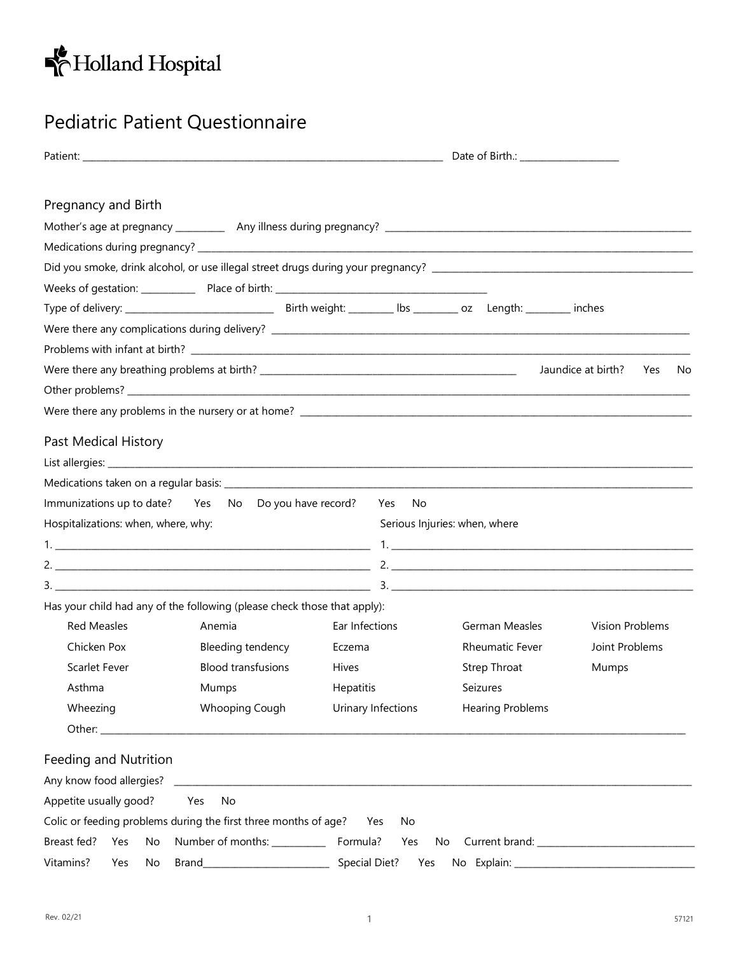

## Pediatric Patient Questionnaire

|                                     |                                                                          |                             | Date of Birth.: ____________________ |                                  |  |  |  |
|-------------------------------------|--------------------------------------------------------------------------|-----------------------------|--------------------------------------|----------------------------------|--|--|--|
| Pregnancy and Birth                 |                                                                          |                             |                                      |                                  |  |  |  |
|                                     |                                                                          |                             |                                      |                                  |  |  |  |
|                                     |                                                                          |                             |                                      |                                  |  |  |  |
|                                     |                                                                          |                             |                                      |                                  |  |  |  |
|                                     |                                                                          |                             |                                      |                                  |  |  |  |
|                                     |                                                                          |                             |                                      |                                  |  |  |  |
|                                     |                                                                          |                             |                                      |                                  |  |  |  |
|                                     |                                                                          |                             |                                      |                                  |  |  |  |
|                                     |                                                                          |                             |                                      | Jaundice at birth?<br>Yes<br>No. |  |  |  |
|                                     |                                                                          |                             |                                      |                                  |  |  |  |
|                                     |                                                                          |                             |                                      |                                  |  |  |  |
|                                     |                                                                          |                             |                                      |                                  |  |  |  |
| Past Medical History                |                                                                          |                             |                                      |                                  |  |  |  |
|                                     |                                                                          |                             |                                      |                                  |  |  |  |
|                                     |                                                                          |                             |                                      |                                  |  |  |  |
|                                     | Immunizations up to date? Yes No Do you have record? Yes No              |                             |                                      |                                  |  |  |  |
| Hospitalizations: when, where, why: |                                                                          |                             | Serious Injuries: when, where        |                                  |  |  |  |
|                                     |                                                                          |                             |                                      |                                  |  |  |  |
|                                     |                                                                          |                             | 2.                                   |                                  |  |  |  |
|                                     |                                                                          |                             |                                      |                                  |  |  |  |
|                                     | Has your child had any of the following (please check those that apply): |                             |                                      |                                  |  |  |  |
| <b>Red Measles</b>                  | Anemia                                                                   | Ear Infections              | German Measles                       | Vision Problems                  |  |  |  |
| Chicken Pox                         | Bleeding tendency                                                        | Eczema                      | <b>Rheumatic Fever</b>               | Joint Problems                   |  |  |  |
| <b>Scarlet Fever</b>                | <b>Blood transfusions</b>                                                | <b>Hives</b>                | Strep Throat                         | Mumps                            |  |  |  |
| Asthma                              | Mumps                                                                    | Hepatitis                   | Seizures                             |                                  |  |  |  |
| Wheezing                            | Whooping Cough                                                           | Urinary Infections          | <b>Hearing Problems</b>              |                                  |  |  |  |
|                                     |                                                                          |                             |                                      |                                  |  |  |  |
| Feeding and Nutrition               |                                                                          |                             |                                      |                                  |  |  |  |
|                                     |                                                                          |                             |                                      |                                  |  |  |  |
| Appetite usually good?              | No<br>Yes                                                                |                             |                                      |                                  |  |  |  |
|                                     | Colic or feeding problems during the first three months of age?          | Yes<br>No                   |                                      |                                  |  |  |  |
| Breast fed?<br>Yes<br>No            |                                                                          |                             |                                      |                                  |  |  |  |
| Vitamins?<br>Yes<br>No              |                                                                          | <b>Special Diet?</b><br>Yes |                                      |                                  |  |  |  |